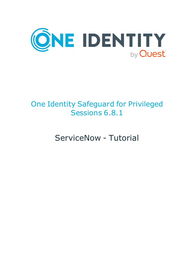

# One Identity Safeguard for Privileged Sessions 6.8.1

ServiceNow - Tutorial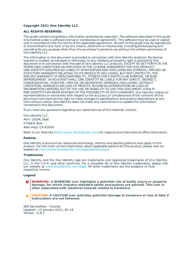#### **Copyright 2021 One Identity LLC.**

#### **ALL RIGHTS RESERVED.**

This guide contains proprietary information protected by copyright. The software described in this guide is furnished under a software license or nondisclosure agreement. This software may be used or copied only in accordance with the terms of the applicable agreement. No part of this guide may be reproduced or transmitted in any form or by any means, electronic or mechanical, including photocopying and recording for any purpose other than the purchaser's personal use without the written permission of One Identity LLC .

The information in this document is provided in connection with One Identity products. No license, express or implied, by estoppel or otherwise, to any intellectual property right is granted by this document or in connection with the sale of One Identity LLC products. EXCEPT AS SET FORTH IN THE TERMS AND CONDITIONS AS SPECIFIED IN THE LICENSE AGREEMENT FOR THIS PRODUCT, ONE IDENTITY ASSUMES NO LIABILITY WHATSOEVER AND DISCLAIMS ANY EXPRESS, IMPLIED OR STATUTORY WARRANTY RELATING TO ITS PRODUCTS INCLUDING, BUT NOT LIMITED TO, THE IMPLIED WARRANTY OF MERCHANTABILITY, FITNESS FOR A PARTICULAR PURPOSE, OR NON-INFRINGEMENT. IN NO EVENT SHALL ONE IDENTITY BE LIABLE FOR ANY DIRECT, INDIRECT, CONSEQUENTIAL, PUNITIVE, SPECIAL OR INCIDENTAL DAMAGES (INCLUDING, WITHOUT LIMITATION, DAMAGES FOR LOSS OF PROFITS, BUSINESS INTERRUPTION OR LOSS OF INFORMATION) ARISING OUT OF THE USE OR INABILITY TO USE THIS DOCUMENT, EVEN IF ONE IDENTITY HAS BEEN ADVISED OF THE POSSIBILITY OF SUCH DAMAGES. One Identity makes no representations or warranties with respect to the accuracy or completeness of the contents of this document and reserves the right to make changes to specifications and product descriptions at any time without notice. One Identity does not make any commitment to update the information contained in this document.

If you have any questions regarding your potential use of this material, contact:

One Identity LLC. Attn: LEGAL Dept 4 Polaris Way Aliso Viejo, CA 92656

Refer to our Web site ([http://www.OneIdentity.com](http://www.oneidentity.com/)) for regional and international office information.

#### **Patents**

One Identity is proud of our advanced technology. Patents and pending patents may apply to this product. For the most current information about applicable patents for this product, please visit our website at [http://www.OneIdentity.com/legal/patents.aspx](http://www.oneidentity.com/legal/patents.aspx).

#### **Trademarks**

One Identity and the One Identity logo are trademarks and registered trademarks of One Identity LLC. in the U.S.A. and other countries. For a complete list of One Identity trademarks, please visit our website at [www.OneIdentity.com/legal](http://www.oneidentity.com/legal). All other trademarks are the property of their respective owners.

#### **Legend**

**WARNING: A WARNING icon highlights a potential risk of bodily injury or property damage, for which industry-standard safety precautions are advised. This icon is often associated with electrical hazards related to hardware.**

**CAUTION: A CAUTION icon indicates potential damage to hardware or loss of data if** A **instructions are not followed.**

SPS ServiceNow - Tutorial Updated - 15 January 2021, 06:18 Version - 6.8.1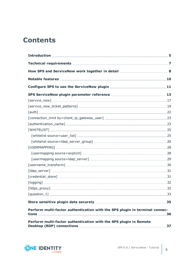## **Contents**

| [service_now] …………………………………………………………………………………17                             |  |
|-----------------------------------------------------------------------------|--|
|                                                                             |  |
|                                                                             |  |
|                                                                             |  |
|                                                                             |  |
|                                                                             |  |
|                                                                             |  |
|                                                                             |  |
|                                                                             |  |
|                                                                             |  |
|                                                                             |  |
|                                                                             |  |
|                                                                             |  |
|                                                                             |  |
|                                                                             |  |
|                                                                             |  |
| [question_1] …………………………………………………………………………………………33                           |  |
|                                                                             |  |
| Perform multi-factor authentication with the SPS plugin in terminal connec- |  |
| Perform multi-factor authentication with the SPS plugin in Remote           |  |

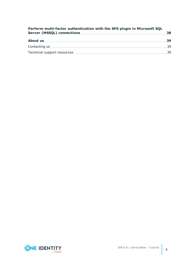| Perform multi-factor authentication with the SPS plugin in Microsoft SQL |  |
|--------------------------------------------------------------------------|--|
|                                                                          |  |
|                                                                          |  |
|                                                                          |  |

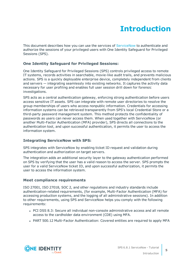# **Introduction**

<span id="page-4-0"></span>This document describes how you can use the services of [ServiceNow](https://www.servicenow.com/) to authenticate and authorize the sessions of your privileged users with One Identity Safeguard for Privileged Sessions (SPS).

## **One Identity Safeguard for Privileged Sessions:**

One Identity Safeguard for Privileged Sessions (SPS) controls privileged access to remote IT systems, records activities in searchable, movie-like audit trails, and prevents malicious actions. SPS is a quickly deployable enterprise device, completely independent from clients and servers — integrating seamlessly into existing networks. It captures the activity data necessary for user profiling and enables full user session drill down for forensic investigations.

SPS acts as a central authentication gateway, enforcing strong authentication before users access sensitive IT assets. SPS can integrate with remote user directories to resolve the group memberships of users who access nonpublic information. Credentials for accessing information systems can be retrieved transparently from SPS's local Credential Store or a third-party password management system. This method protects the confidentiality of passwords as users can never access them. When used together with ServiceNow (or another Multi-Factor Authentication (MFA) provider), SPS directs all connections to the authentication tool, and upon successful authentication, it permits the user to access the information system.

## **Integrating ServiceNow with SPS:**

SPS integrates with ServiceNow by enabling ticket ID request and validation during authentication and authorization on target servers.

The integration adds an additional security layer to the gateway authentication performed on SPS by verifying that the user has a valid reason to access the server. SPS prompts the user for a valid ServiceNow ticket ID, and upon successful authorization, it permits the user to access the information system.

## **Meet compliance requirements**

ISO 27001, ISO 27018, SOC 2, and other regulations and industry standards include authentication-related requirements, (for example, Multi-Factor Authentication (MFA) for accessing production systems, and the logging of all administrative sessions). In addition to other requirements, using SPS and ServiceNow helps you comply with the following requirements:

- PCI DSS 8.3: Secure all individual non-console administrative access and all remote access to the cardholder data environment (CDE) using MFA.
- PART 500.12 Multi-Factor Authentication: Covered entities are required to apply MFA

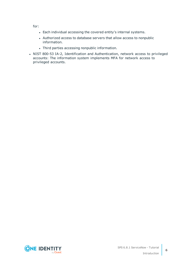for:

- Each individual accessing the covered entity's internal systems.
- Authorized access to database servers that allow access to nonpublic information.
- Third parties accessing nonpublic information.
- NIST 800-53 IA-2, Identification and Authentication, network access to privileged accounts: The information system implements MFA for network access to privileged accounts.

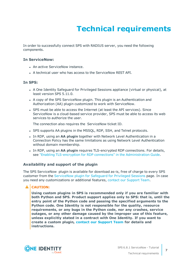# **Technical requirements**

<span id="page-6-0"></span>In order to successfully connect SPS with RADIUS server, you need the following components.

#### **In ServiceNow:**

- An active ServiceNow instance.
- A technical user who has access to the ServiceNow REST API.

### **In SPS:**

- A One Identity Safeguard for Privileged Sessions appliance (virtual or physical), at least version SPS 5.11.0.
- A copy of the SPS ServiceNow plugin. This plugin is an Authentication and Authorization (AA) plugin customized to work with ServiceNow.
- SPS must be able to access the Internet (at least the API services). Since ServiceNow is a cloud-based service provider, SPS must be able to access its web services to authorize the user.

The connection also requires the ServiceNow ticket ID.

- SPS supports AA plugins in the MSSOL, RDP, SSH, and Telnet protocols.
- **.** In RDP, using an AA plugin together with Network Level Authentication in a Connection Policy has the same limitations as using Network Level Authentication without domain membership.
- **In RDP, using an AA plugin requires TLS-encrypted RDP connections. For details,** see "Enabling [TLS-encryption](https://support.oneidentity.com/technical-documents/safeguard-for-privileged-sessions/6.8.1/administration-guide/rdp-specific-settings/enabling-tls-encryption-for-rdp-connections/) for RDP connections" in the Administration Guide.

### **Availability and support of the plugin**

The SPS ServiceNow plugin is available for download as-is, free of charge to every SPS customer from the [ServiceNow](https://github.com/OneIdentity/safeguard-sessions-plugin-servicenow/releases) plugin for Safeguard for Privileged Sessions page. In case you need any customizations or additional features, contact our [Support](https://support.oneidentity.com/one-identity-safeguard-for-privileged-sessions) Team.

## **A** CAUTION:

**Using custom plugins in SPS is recommended only if you are familiar with both Python and SPS. Product support applies only to SPS: that is, until the entry point of the Python code and passing the specified arguments to the Python code. One Identity is not responsible for the quality, resource requirements, or any bugs in the Python code, nor any crashes, service outages, or any other damage caused by the improper use of this feature, unless explicitly stated in a contract with One Identity. If you want to create a custom plugin, contact our [Support](https://support.oneidentity.com/one-identity-safeguard-for-privileged-sessions) Team for details and instructions.**

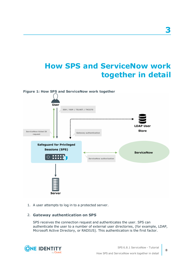## <span id="page-7-0"></span>**How SPS and ServiceNow work together in detail**



1. A user attempts to log in to a protected server.

## 2. **Gateway authentication on SPS**

SPS receives the connection request and authenticates the user. SPS can authenticate the user to a number of external user directories, (for example, LDAP, Microsoft Active Directory, or RADIUS). This authentication is the first factor.



**8**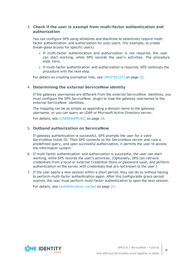## 3. **Check if the user is exempt from multi-factor authentication and authorization**

You can configure SPS using whitelists and blacklists to selectively require multifactor authentication and authorization for your users, (for example, to create break-glass access for specific users).

- If multi-factor authentication and authorization is not required, the user can start working, while SPS records the user's activities. The procedure ends here.
- If multi-factor authentication and authorization is required, SPS continues the procedure with the next step.

For details on creating exemption lists, see [\[WHITELIST\]](#page-24-0) on page 25.

### 4. **Determining the external ServiceNow identity**

If the gateway usernames are different from the external ServiceNow identities, you must configure the SPS ServiceNow plugin to map the gateway usernames to the external ServiceNow identities.

The mapping can be as simple as appending a domain name to the gateway username, or you can query an LDAP or Microsoft Active Directory server.

For details, see [\[USERMAPPING\]](#page-27-0) on page 28.

### 5. **Outband authorization on ServiceNow**

If gateway authentication is successful, SPS prompts the user for a valid ServiceNow ticket ID. Then SPS connects to the ServiceNow server and runs a predefined query, and upon successful authorization, it permits the user to access the information system.

- 6. If multi-factor authentication and authorization is successful, the user can start working, while SPS records the user's activities. (Optionally, SPS can retrieve credentials from a local or external Credential Store or password vault, and perform authentication on the server with credentials that are not known to the user.)
- 7. If the user opens a new session within a short period, they can do so without having to perform multi-factor authentication again. After this configurable grace period expires, the user must perform multi-factor authentication to open the next session.

For details, see [\[authentication\\_cache\]](#page-22-1) on page 23.



**9**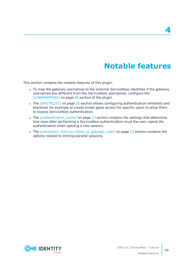## **Notable features**

**4**

<span id="page-9-0"></span>This section contains the notable features of this plugin.

- To map the gateway usernames to the external ServiceNow identities if the gateway usernames are different from the ServiceNow usernames, configure the [\[USERMAPPING\]](#page-27-0) on page 28 section of the plugin.
- The [\[WHITELIST\]](#page-24-0) on page 25 section allows configuring authentication whitelists and blacklists for example to create break-glass access for specific users to allow them to bypass ServiceNow authentication.
- The *[authentication cache]* on page 23 section contains the settings that determine how soon after performing a ServiceNow authentication must the user repeat the authentication when opening a new session.
- The [connection\_limit [by=client\\_ip\\_gateway\\_user\]](#page-22-0) on page 23 section contains the options related to limiting parallel sessions.

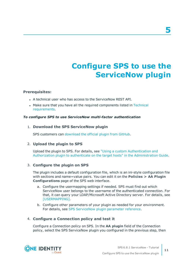# **Configure SPS to use the ServiceNow plugin**

### <span id="page-10-0"></span>**Prerequisites:**

- A technical user who has access to the ServiceNow REST API.
- Make sure that you have all the required components listed in [Technical](#page-6-0) [requirements](#page-6-0).

### *To configure SPS to use ServiceNow multi-factor authentication*

### 1. **Download the SPS ServiceNow plugin**

SPS customers can [download](https://github.com/OneIdentity/safeguard-sessions-plugin-servicenow/releases) the official plugin from GitHub.

## 2. **Upload the plugin to SPS**

Upload the plugin to SPS. For details, see "Using a custom [Authentication](https://support.oneidentity.com/technical-documents/safeguard-for-privileged-sessions/6.8.1/administration-guide/advanced-authentication-and-authorization-techniques/integrating-external-authentication-and-authorization-systems/using-a-custom-authentication-and-authorization-plugin-to-authenticate-on-the-target-hosts/) and Authorization plugin to authenticate on the target hosts" in the [Administration](https://support.oneidentity.com/technical-documents/safeguard-for-privileged-sessions/6.8.1/administration-guide/advanced-authentication-and-authorization-techniques/integrating-external-authentication-and-authorization-systems/using-a-custom-authentication-and-authorization-plugin-to-authenticate-on-the-target-hosts/) Guide.

### 3. **Configure the plugin on SPS**

The plugin includes a default configuration file, which is an ini-style configuration file with sections and name=value pairs. You can edit it on the **Policies > AA Plugin Configurations** page of the SPS web interface.

- a. Configure the usermapping settings if needed. SPS must find out which ServiceNow user belongs to the username of the authenticated connection. For that, it can query your LDAP/Microsoft Active Directory server. For details, see [\[USERMAPPING\].](#page-27-0)
- b. Configure other parameters of your plugin as needed for your environment. For details, see SPS [ServiceNow](#page-12-0) plugin parameter reference.

## 4. **Configure a Connection policy and test it**

Configure a Connection policy on SPS. In the **AA plugin** field of the Connection policy, select the SPS ServiceNow plugin you configured in the previous step, then

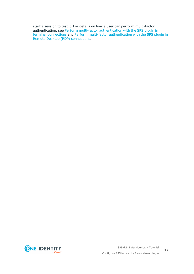start a session to test it. For details on how a user can perform multi-factor authentication, see Perform multi-factor [authentication](#page-35-0) with the SPS plugin in terminal [connections](#page-35-0) and Perform multi-factor [authentication](#page-36-0) with the SPS plugin in Remote Desktop (RDP) [connections.](#page-36-0)

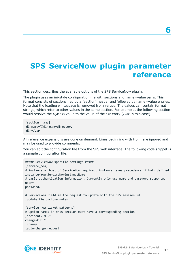## <span id="page-12-0"></span>**SPS ServiceNow plugin parameter reference**

This section describes the available options of the SPS ServiceNow plugin.

The plugin uses an ini-style configuration file with sections and name=value pairs. This format consists of sections, led by a [section] header and followed by name=value entries. Note that the leading whitespace is removed from values. The values can contain format strings, which refer to other values in the same section. For example, the following section would resolve the %(dir)s value to the value of the dir entry (/var in this case).

[section name] dirname=%(dir)s/mydirectory dir=/var

All reference expansions are done on demand. Lines beginning with # or ; are ignored and may be used to provide comments.

You can edit the configuration file from the SPS web interface. The following code snippet is a sample configuration file.

```
##### ServiceNow specific settings #####
[service_now]
# instance or host of ServiceNow required, instance takes precedence if both defined
instance=YourServiceNowInstanceName
# basic authentication information. Currently only username and password supported
user=
password=
# ServiceNow field in the request to update with the SPS session id
;update_field=close_notes
[service_now_ticket_patterns]
# Option names in this section must have a corresponding section
;incident=INC.*
change=CHG.*
[change]
table=change_request
```
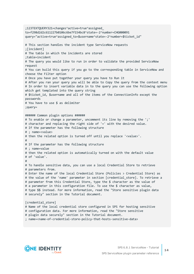;123TEXTQUERY321=changes^active=true^assigned\_ to=f298d2d2c611227b0106c6be7f154bc8^state=-2^number=CHG000091 query="active=true^assigned\_to=\$username^state=-2^number=\$ticket\_id" # This section handles the incident type ServiceNow requests ;[incident] # The table in which the incidents are stored ;table=incident # The query you would like to run in order to validate the provided ServiceNow request # You can build this query if you go to the corresponding table in ServiceNow and choose the Filter option # Once you have put together your query you have to Run it # After you ran your query you will be able to Copy the query from the context menu # In order to insert variable data in to the query you can use the following option which get templated into the query string # \$ticket id, \$username and all of the items of the ConnectionInfo except the passwords # You have to use \$ as delimiter ;query= ###### Common plugin options ###### # To enable or change a parameter, uncomment its line by removing the ';' # character and replacing the right side of '=' with the desired value. # If the parameter has the following structure # ; name=<value> # then the related option is turned off until you replace '<value>'. # # If the parameter has the following structure # ; name=value # then the related option is automatically turned on with the default value # of 'value'. # # To handle sensitive data, you can use a local Credential Store to retrieve # parameters from. # Enter the name of the local Credential Store (Policies > Credential Store) as # the value of the 'name' parameter in section [credential\_store]. To retrieve a # parameter from this Credential Store, type the \$ character as the value of # a parameter in this configuration file. To use the \$ character as value, # type \$\$ instead. For more information, read the "Store sensitive plugin data # securely" section in the Tutorial document. [credential store] # Name of the local credential store configured in SPS for hosting sensitive # configuration data. For more information, read the "Store sensitive # plugin data securely" section in the Tutorial document.

; name=<name-of-credential-store-policy-that-hosts-sensitive-data>



**14**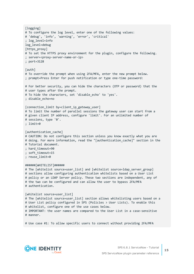```
[logging]
# To configure the log level, enter one of the following values:
# 'debug', 'info', 'warning', 'error', 'critical'
; log_level=info
log_level=debug
[https proxy]
# To set the HTTPS proxy environment for the plugin, configure the following.
; server=<proxy-server-name-or-ip>
; port=3128
[auth]
# To override the prompt when using 2FA/MFA, enter the new prompt below.
; prompt=Press Enter for push notification or type one-time password:
# For better security, you can hide the characters (OTP or password) that the
# user types after the prompt.
# To hide the characters, set 'disable echo' to 'yes'.
; disable_echo=no
[connection limit by=client ip gateway user]
# To limit the number of parallel sessions the gateway user can start from a
# given client IP address, configure 'limit'. For an unlimited number of
# sessions, type '0'.
; limit=0
[authentication_cache]
# CAUTION: Do not configure this section unless you know exactly what you are
# doing. For more information, read the "[authentication_cache]" section in the
# Tutorial document.
; hard timeout=90
; soft_timeout=15
; reuse_limit=0
######[WHITELIST]######
# The [whitelist source=user_list] and [whitelist source=ldap_server_group]
# sections allow configuring authentication whitelists based on a User List
# policy or an LDAP Server policy. These two sections are independent, any of
# the two can be configured and can allow the user to bypass 2FA/MFA
# authentication.
[whitelist source=user list]
# The [whitelist source=user_list] section allows whitelisting users based on a
# User List policy configured in SPS (Policies > User Lists). To enable this
# whitelist, configure one of the use cases below.
# IMPORTANT: the user names are compared to the User List in a case-sensitive
# manner.
# Use case #1: To allow specific users to connect without providing 2FA/MFA
```
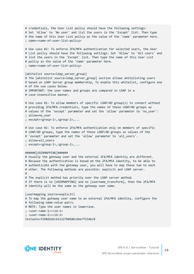| # credentials, the User List policy should have the following settings:<br># Set 'Allow' to 'No user' and list the users in the 'Except' list. Then type<br># the name of this User List policy as the value of the 'name' parameter here.<br>; name= <name-of-user-list-policy></name-of-user-list-policy>                                                              |  |
|--------------------------------------------------------------------------------------------------------------------------------------------------------------------------------------------------------------------------------------------------------------------------------------------------------------------------------------------------------------------------|--|
| # Use case #2: To enforce 2FA/MFA authentication for selected users, the User<br># List policy should have the following settings: Set 'Allow' to 'All users' and<br># list the users in the 'Except' list. Then type the name of this User List<br># policy as the value of the 'name' parameter here.<br>; name= <name-of-user-list-policy></name-of-user-list-policy> |  |
| [whitelist source=ldap_server_group]<br># The [whitelist source=ldap_server_group] section allows whitelisting users<br># based on LDAP Server group membership, To enable this whitelist, configure one<br># of the use cases below.<br># IMPORTANT: the user names and groups are compared in LDAP in a<br># case-insensitive manner.                                  |  |
| # Use case #1: To allow members of specific LDAP/AD group(s) to connect without<br># providing 2FA/MFA credentials, type the names of these LDAP/AD groups as<br># values of the 'except' parameter and set the 'allow' parameter to 'no_user':<br>; allow=no user<br>; except= <group-1>,<group-2>,</group-2></group-1>                                                 |  |
| # Use case #2: To enforce 2FA/MFA authentication only on members of specific<br># LDAP/AD groups, type the names of these LDAP/AD groups as values of the<br># 'except' parameter and set the 'allow' parameter to 'all_users'.<br>; allow=all_users<br>; except= <group-1>,<group-2>,</group-2></group-1>                                                               |  |
| ######[USERMAPPING]######<br># Usually the gateway user and the external 2FA/MFA identity are different.<br># Because the authentication is based on the 2FA/MFA identity, to be able to<br># authenticate with the gateway user, you will have to map these two to each<br># other. The following methods are possible: explicit and LDAP server.<br>#                  |  |
| # The explicit method has priority over the LDAP server method.<br># If there is no [USERMAPPING] and no [username_transform], then the 2FA/MFA<br># identity will be the same as the gateway user name.                                                                                                                                                                 |  |
| [usermapping source=explicit]<br># To map the gateway user name to an external 2FA/MFA identity, configure the<br># following name-value pairs.<br># NOTE: Type the user names in lowercase.<br>; <user-name-1>=<id-1><br/>; <user-name-2>=<id-2><br/>testauto=f298d2d2c611227b0106c6be7f154bc8</id-2></user-name-2></id-1></user-name-1>                                |  |

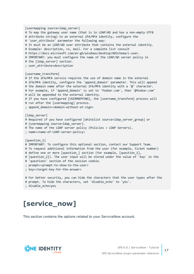```
[usermapping source=1dap server]
# To map the gateway user name (that is in LDAP/AD and has a non-empty UTF8
# attribute string) to an external 2FA/MFA identity, configure the
# 'user_attribute' parameter the following way:
# It must be an LDAP/AD user attribute that contains the external identity.
# Example: description, cn, mail. For a complete list consult
# https://docs.microsoft.com/en-gb/windows/desktop/ADSchema/c-user.
# IMPORTANT: you must configure the name of the LDAP/AD server policy in
# the [ldap server] section.
; user_attribute=description
[username_transform]
# If the 2FA/MFA service requires the use of domain name in the external
# 2FA/MFA identity, configure the 'append_domain' parameter. This will append
# the domain name after the external 2FA/MFA identity with a '@' character.
# For example, if 'append domain' is set to 'foobar.com', then '@foobar.com'
# will be appended to the external identity.
# If you have configured [USERMAPPING], the [username transform] process will
# run after the [usermapping] process.
; append_domain=<domain-without-at-sign>
[ldap server]
# Required if you have configured [whitelist source=ldap_server_group] or
# [usermapping source=ldap server].
# The name of the LDAP server policy (Policies > LDAP Servers).
; name=<name-of-LDAP-server-policy>
[question_1]
# IMPORTANT: To configure this optional section, contact our Support Team.
# To request additional information from the user (for example, ticket number)
# define one or more [question_] section (for example, [question_1],
# [question_2]). The user input will be stored under the value of 'key' in the
# 'questions' section of the session cookie.
; prompt=<prompt-to-show-to-the-user>
; key=<target-key-for-the-answer>
# For better security, you can hide the characters that the user types after the
# prompt. To hide the characters, set 'disable_echo' to 'yes'.
```

```
; disable_echo=yes
```
# <span id="page-16-0"></span>**[service\_now]**

This section contains the options related to your ServiceNow account.

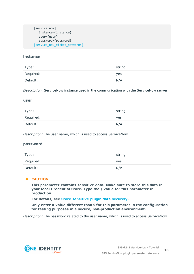```
[service_now]
   instance={instance}
   user={user}
   password={password}
[service_now_ticket_patterns]
```
### **instance**

| Type:     | string |
|-----------|--------|
| Required: | yes    |
| Default:  | N/A    |

*Description:* ServiceNow instance used in the communication with the ServiceNow server.

#### **user**

| Type:     | string |
|-----------|--------|
| Required: | yes    |
| Default:  | N/A    |

*Description:* The user name, which is used to access ServiceNow.

### **password**

| Type:     | string |
|-----------|--------|
| Required: | yes    |
| Default:  | N/A    |

## **A** CAUTION:

**This parameter contains sensitive data. Make sure to store this data in your local Credential Store. Type the \$ value for this parameter in production.**

**For details, see Store [sensitive](#page-34-0) plugin data securely.**

**Only enter a value different than \$ for this parameter in the configuration for testing purposes in a secure, non-production environment.**

*Description:* The password related to the user name, which is used to access ServiceNow.

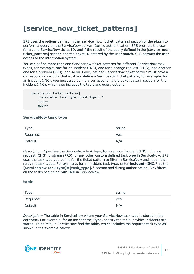## <span id="page-18-0"></span>**[service\_now\_ticket\_patterns]**

SPS uses the options defined in the [service\_now\_ticket\_patterns] section of the plugin to perform a query on the ServiceNow server. During authentication, SPS prompts the user for a valid ServiceNow ticket ID, and if the result of the query defined in the [service\_now ticket patterns] section and the ticket ID entered by the user match, SPS permits the user access to the information system.

You can define more than one ServiceNow ticket patterns for different ServiceNow task types, for example, one for an incident (INC), one for a change request (CHG), and another one for a problem (PRB), and so on. Every defined ServiceNow ticket pattern must have a corresponding section, that is, if you define a ServiceNow ticket pattern, for example, for an incident (INC), you must also define a corresponding the ticket pattern section for the incident (INC), which also includes the table and query options.

[service now ticket patterns] [ServiceNow task type]=[task\_type\_].\* table= query=

### **ServiceNow task type**

| Type:     | string |
|-----------|--------|
| Required: | yes    |
| Default:  | N/A    |

*Description:* Specifies the ServiceNow task type, for example, incident (INC), change request (CHG), problem (PRB), or any other custom defined task type in ServiceNow. SPS uses the task type you define for the ticket pattern to filter in ServiceNow and list all the relevant task types. For example, for an incident task type, enter **incident=INC.\*** as the **[ServiceNow task type]=[task\_type].\*** section and during authorization, SPS filters all the tasks beginning with **INC** in ServiceNow.

### **table**

| Type:     | string     |
|-----------|------------|
| Required: | <b>yes</b> |
| Default:  | N/A        |

*Description:* The table in ServiceNow where your ServiceNow task type is stored in the database. For example, for an incident task type, specify the table in which incidents are stored. To do this, in ServiceNow find the table, which includes the required task type as shown in the example below:

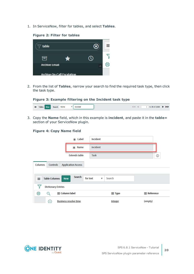1. In ServiceNow, filter for tables, and select **Tables**.

### **Figure 2: Filter for tables**



2. From the list of **Tables**, narrow your search to find the required task type, then click the task type.

**Figure 3: Example filtering on the Incident task type**

| $\overline{E}$ Tables New Search<br>$\blacksquare$ $\blacksquare$ $\blacksquare$ $\blacksquare$ $\blacksquare$ to 20 of 2,008 $\blacktriangleright$ $\blacktriangleright$<br>ЕL<br>Name |
|-----------------------------------------------------------------------------------------------------------------------------------------------------------------------------------------|
|                                                                                                                                                                                         |

3. Copy the **Name** field, which in this example is **incident**, and paste it in the **table=** section of your ServiceNow plugin.

|                                   | $*$ Label                               | <b>Incident</b> |                    |
|-----------------------------------|-----------------------------------------|-----------------|--------------------|
|                                   | $*$ Name                                | incident        |                    |
|                                   | <b>Extends table</b>                    | <b>Task</b>     | ⊙                  |
| <b>Columns</b><br><b>Controls</b> | <b>Application Access</b>               |                 |                    |
| <b>Table Columns</b><br>≡         | <b>Search</b><br>for text<br><b>New</b> | Search<br>v     |                    |
| ᄝ<br><b>Dictionary Entries</b>    |                                         |                 |                    |
| భ<br>Ο                            | $\equiv$ Column label                   | $\equiv$ Type   | $\equiv$ Reference |
| G)                                | <b>Business resolve time</b>            | <b>Integer</b>  | (empty)            |

#### **Figure 4: Copy Name field**

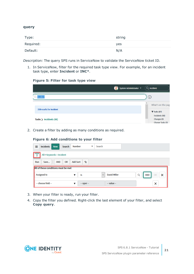#### **query**

| Type:     | string |
|-----------|--------|
| Required: | yes    |
| Default:  | N/A    |

*Description:* The query SPS runs in ServiceNow to validate the ServiceNow ticket ID.

1. In ServiceNow, filter for the required task type view. For example, for an incident task type, enter **Incident** or **INC\***.

#### **Figure 5: Filter for task type view**

| System Administrator $\sqrt{\frac{1}{2}}$ |   | $Q$ Incident                                      |
|-------------------------------------------|---|---------------------------------------------------|
| Incident                                  |   | (i)                                               |
|                                           | ∧ | What's on the pag                                 |
| 238 results for Incident                  |   | $\blacktriangledown$ Tasks (67)<br>Incidents (66) |
| Tasks > Incidents (66)                    |   | Changes (0)<br>Change Tasks (0)                   |

2. Create a filter by adding as many conditions as required.

#### **Figure 6: Add conditions to your filter**

| ≡<br><b>Incidents</b><br><b>New</b> | <b>Number</b><br><b>Search</b><br>▼        | Search                              |                                                |  |
|-------------------------------------|--------------------------------------------|-------------------------------------|------------------------------------------------|--|
| All > Keywords = Incident           |                                            |                                     |                                                |  |
| Run<br>Save<br><b>AND</b>           | <b>Add Sort</b><br>くしょう しょうかい<br><b>OR</b> |                                     |                                                |  |
| All of these conditions must be met |                                            |                                     |                                                |  |
| Assigned to                         | İS                                         | <b>David Miller</b><br>$\checkmark$ | $\boldsymbol{\times}$<br>Q<br><b>AND</b><br>OR |  |
| -- choose field --                  | $-$ oper $-$<br>v                          | $-$ value $-$                       | ×                                              |  |

- 3. When your filter is ready, run your filter.
- 4. Copy the filter you defined. Right-click the last element of your filter, and select **Copy query**.

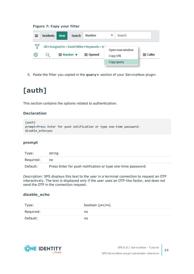#### **Figure 7: Copy your filter**

| ≡    | Incidents | <b>New</b> | Search | Number                                               | Search          |                 |
|------|-----------|------------|--------|------------------------------------------------------|-----------------|-----------------|
|      |           |            |        | All > Assigned to = David Miller > Keywords = te     | Open new window |                 |
| ද්රි |           |            |        | $\equiv$ Number $\blacktriangledown$ $\equiv$ Opened | <b>Copy URL</b> | $\equiv$ Caller |
|      |           |            |        |                                                      | Copy query      |                 |

<span id="page-21-0"></span>5. Paste the filter you copied in the **query=** section of your ServiceNow plugin.

# **[auth]**

This section contains the options related to authentication.

## **Declaration**

```
[auth]
prompt=Press Enter for push notification or type one-time password:
disable_echo=yes
```
#### **prompt**

| Type:     | string                                                       |
|-----------|--------------------------------------------------------------|
| Required: | no                                                           |
| Default:  | Press Enter for push notification or type one-time password: |

*Description:* SPS displays this text to the user in a terminal connection to request an OTP interactively. The text is displayed only if the user uses an OTP-like factor, and does not send the OTP in the connection request.

#### **disable\_echo**

| Type:     | boolean (yes no) |
|-----------|------------------|
| Required: | no               |
| Default:  | no               |

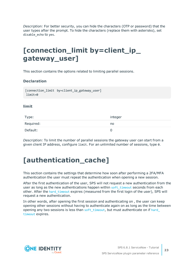*Description:* For better security, you can hide the characters (OTP or password) that the user types after the prompt. To hide the characters (replace them with asterisks), set disable\_echo to yes.

## <span id="page-22-0"></span>**[connection\_limit by=client\_ip\_ gateway\_user]**

This section contains the options related to limiting parallel sessions.

## **Declaration**

```
[connection limit by=client ip gateway user]
limit=0
```
### **limit**

| Type:     | integer |
|-----------|---------|
| Required: | no      |
| Default:  | 0       |

*Description:* To limit the number of parallel sessions the gateway user can start from a given client IP address, configure limit. For an unlimited number of sessions, type 0.

## <span id="page-22-1"></span>**[authentication\_cache]**

This section contains the settings that determine how soon after performing a 2FA/MFA authentication the user must repeat the authentication when opening a new session.

After the first authentication of the user, SPS will not request a new authentication from the user as long as the new authentications happen within soft timeout seconds from each other. After the hard timeout expires (measured from the first login of the user), SPS will request a new authentication.

In other words, after opening the first session and authenticating on , the user can keep opening other sessions without having to authenticate again on as long as the time between opening any two sessions is less than soft timeout, but must authenticate on if hard [timeout](#page-23-1) expires.

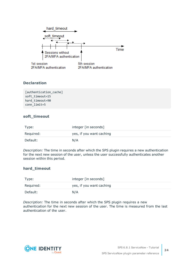

## **Declaration**

[authentication cache] soft\_timeout=15 hard timeout=90 conn\_limit=5

## <span id="page-23-0"></span>**soft\_timeout**

| Type:     | integer [in seconds]     |
|-----------|--------------------------|
| Required: | yes, if you want caching |
| Default:  | N/A                      |

*Description:* The time in seconds after which the SPS plugin requires a new authentication for the next new session of the user, unless the user successfully authenticates another session within this period.

## <span id="page-23-1"></span>**hard\_timeout**

| Type:     | integer [in seconds]     |
|-----------|--------------------------|
| Required: | yes, if you want caching |
| Default:  | N/A                      |

*Description:* The time in seconds after which the SPS plugin requires a new authentication for the next new session of the user. The time is measured from the last authentication of the user.

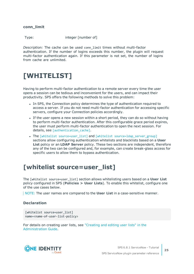**conn\_limit**

Type: integer [number of]

*Description:* The cache can be used conn\_limit times without multi-factor authentication. If the number of logins exceeds this number, the plugin will request multi-factor authentication again. If this parameter is not set, the number of logins from cache are unlimited.

## <span id="page-24-0"></span>**[WHITELIST]**

Having to perform multi-factor authentication to a remote server every time the user opens a session can be tedious and inconvenient for the users, and can impact their productivity. SPS offers the following methods to solve this problem:

- In SPS, the Connection policy determines the type of authentication required to access a server. If you do not need multi-factor authentication for accessing specific servers, configure your Connection policies accordingly.
- If the user opens a new session within a short period, they can do so without having to perform multi-factor authentication. After this configurable grace period expires, the user must perform multi-factor authentication to open the next session. For details, see [authentication cache].
- The [whitelist source=user list] and [whitelist source=ldap server group] sections allow configuring authentication whitelists and blacklists based on a **User List** policy or an **LDAP Server** policy. These two sections are independent, therefore any of the two can be configured and, for example, can create break-glass access for specific users to allow them to bypass authentication.

## <span id="page-24-1"></span>**[whitelist source=user\_list]**

The [whitelist source=user\_list] section allows whitelisting users based on a **User List** policy configured in SPS (**Policies > User Lists**). To enable this whitelist, configure one of the use cases below.

NOTE: The user names are compared to the **User List** in a case-sensitive manner.

## **Declaration**

```
[whitelist source=user list]
name=<name-of-user-list-policy>
```
For details on creating user lists, see ["Creating](https://support.oneidentity.com/technical-documents/safeguard-for-privileged-sessions/6.8.1/administration-guide/general-connection-settings/creating-and-editing-user-lists/) and editing user lists" in the [Administration](https://support.oneidentity.com/technical-documents/safeguard-for-privileged-sessions/6.8.1/administration-guide/general-connection-settings/creating-and-editing-user-lists/) Guide.

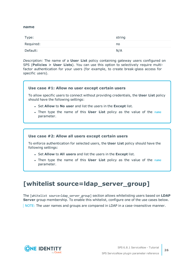#### <span id="page-25-1"></span>**name**

| Type:     | string |
|-----------|--------|
| Required: | no     |
| Default:  | N/A    |

*Description:* The name of a **User List** policy containing gateway users configured on SPS (**Policies > User Lists**). You can use this option to selectively require multifactor authentication for your users (for example, to create break-glass access for specific users).

## **Use case #1: Allow no user except certain users**

To allow specific users to connect without providing credentials, the **User List** policy should have the following settings:

- <sup>l</sup> Set **Allow** to **No user** and list the users in the **Except** list.
- **.** Then type the [name](#page-25-1) of this **User List** policy as the value of the name parameter.

#### **Use case #2: Allow all users except certain users**

To enforce authentication for selected users, the **User List** policy should have the following settings:

- <sup>l</sup> Set **Allow** to **All users** and list the users in the **Except** list.
- **.** Then type the [name](#page-25-1) of this **User List** policy as the value of the name parameter.

## <span id="page-25-0"></span>**[whitelist source=ldap\_server\_group]**

The [whitelist source=ldap\_server\_group] section allows whitelisting users based on **LDAP Server** group membership. To enable this whitelist, configure one of the use cases below.

NOTE: The user names and groups are compared in LDAP in a case-insensitive manner.

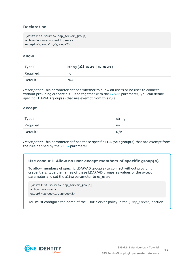## **Declaration**

```
[whitelist source=ldap server group]
allow=<no user-or-all users>
except=<group-1>,<group-2>
```
### <span id="page-26-1"></span>**allow**

| Type:     | string (all_users   no_users) |
|-----------|-------------------------------|
| Required: | no                            |
| Default:  | N/A                           |

*Description:* This parameter defines whether to allow all users or no user to connect without providing credentials. Used together with the [except](#page-26-0) parameter, you can define specific LDAP/AD group(s) that are exempt from this rule.

#### <span id="page-26-0"></span>**except**

| Type:     | string |
|-----------|--------|
| Required: | no     |
| Default:  | N/A    |

*Description:* This parameter defines those specific LDAP/AD group(s) that are exempt from the rule defined by the [allow](#page-26-1) parameter.

### **Use case #1: Allow no user except members of specific group(s)**

To allow members of specific LDAP/AD group(s) to connect without providing credentials, type the names of these LDAP/AD groups as values of the except parameter and set the allow parameter to no user:

```
[whitelist source=ldap_server_group]
allow=<no_user>
except=<group-1>,<group-2>
```
You must configure the name of the LDAP Server policy in the [1dap\_server] section.

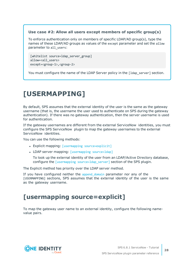### **Use case #2: Allow all users except members of specific group(s)**

To enforce authentication only on members of specific LDAP/AD group(s), type the names of these LDAP/AD groups as values of the except parameter and set the allow parameter to all users:

```
[whitelist source=ldap_server_group]
allow=<all_users>
except=<group-1>,<group-2>
```
You must configure the name of the LDAP Server policy in the [1dap\_server] section.

## <span id="page-27-0"></span>**[USERMAPPING]**

By default, SPS assumes that the external identity of the user is the same as the gateway username (that is, the username the user used to authenticate on SPS during the gateway authentication). If there was no gateway authentication, then the server username is used for authentication.

If the gateway usernames are different from the external ServiceNow identities, you must configure the SPS ServiceNow plugin to map the gateway usernames to the external ServiceNow identities.

You can use the following methods:

- Explicit mapping: [usermapping [source=explicit\]](#page-27-1)
- LDAP server mapping: [\[usermapping](#page-28-0) source=ldap]

To look up the external identity of the user from an LDAP/Active Directory database, configure the [usermapping source=1dap\_server] section of the SPS plugin.

The Explicit method has priority over the LDAP server method.

If you have configured neither the append domain parameter nor any of the [USERMAPPING] sections, SPS assumes that the external identity of the user is the same as the gateway username.

## <span id="page-27-1"></span>**[usermapping source=explicit]**

To map the gateway user name to an external identity, configure the following namevalue pairs.



**28**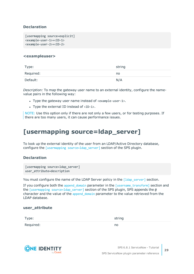## **Declaration**

```
[usermapping source=explicit]
<example-user-1>=<ID-1>
<example-user-2>=<ID-2>
```
#### **<exampleuser>**

| Type:     | string |
|-----------|--------|
| Required: | no     |
| Default:  | N/A    |

*Description:* To map the gateway user name to an external identity, configure the namevalue pairs in the following way:

- Type the gateway user name instead of  $\langle$ example-user-1>.
- Type the external ID instead of  $\langle$ ID-1>.

NOTE: Use this option only if there are not only a few users, or for testing purposes. If there are too many users, it can cause performance issues.

## <span id="page-28-0"></span>**[usermapping source=ldap\_server]**

To look up the external identity of the user from an LDAP/Active Directory database, configure the *[usermapping source=ldap server]* section of the SPS plugin.

## **Declaration**

```
[usermapping source=ldap server]
user_attribute=description
```
You must configure the name of the LDAP Server policy in the [\[ldap\\_server\]](#page-30-0) section.

If you configure both the [append\\_domain](#page-29-1) parameter in the [\[username\\_transform\]](#page-29-0) section and the [usermapping source=1dap\_server] section of the SPS plugin, SPS appends the  $\omega$ character and the value of the [append\\_domain](#page-29-1) parameter to the value retrieved from the LDAP database.

### **user\_attribute**

| Type:     | string |
|-----------|--------|
| Required: | no     |



SPS 6.8.1 ServiceNow - Tutorial SPS ServiceNow plugin parameter reference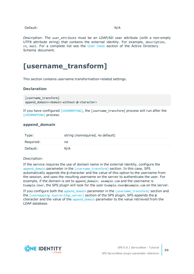#### Default: N/A

*Description:* The user\_attribute must be an LDAP/AD user attribute (with a non-empty UTF8 attribute string) that contains the external identity. For example, description, cn, mail. For a complete list see the User [class](https://docs.microsoft.com/en-gb/windows/desktop/ADSchema/c-user) section of the Active Directory Schema document.

## <span id="page-29-0"></span>**[username\_transform]**

This section contains username transformation-related settings.

#### **Declaration**

```
[username transform]
append domain=<domain-without-@-character>
```
If you have configured [\[USERMAPPING\]](#page-27-0), the [username\_transform] process will run after the [\[USERMAPPING\]](#page-27-0) process.

#### <span id="page-29-1"></span>**append\_domain**

| Type:     | string (nonrequired, no default) |
|-----------|----------------------------------|
| Required: | no                               |
| Default:  | N/A                              |

#### *Description:*

If the service requires the use of domain name in the external identity, configure the append domain parameter in the [\[username\\_transform\]](#page-29-0) section. In this case, SPS automatically appends the @ character and the value of this option to the username from the session, and uses the resulting username on the server to authenticate the user. For example, if the domain is set to append domain: example.com and the username is Example.User, the SPS plugin will look for the user Example.User@example.com on the server.

If you configure both the append domain parameter in the [\[username\\_transform\]](#page-29-0) section and the [usermapping source=1dap\_server] section of the SPS plugin, SPS appends the  $\omega$ character and the value of the append domain parameter to the value retrieved from the LDAP database.

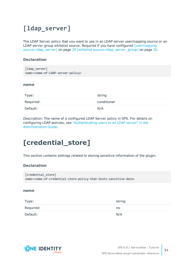## <span id="page-30-0"></span>**[ldap\_server]**

The LDAP Server policy that you want to use in an LDAP server usermapping source or an LDAP server group whitelist source. Required if you have configured [\[usermapping](#page-28-0) [source=ldap\\_server\]](#page-28-0) on page 29 [whitelist [source=ldap\\_server\\_group\]](#page-25-0) on page 26.

## **Declaration**

| [ldap_server]                                                   |
|-----------------------------------------------------------------|
| name= <name-of-ldap-server-policy></name-of-ldap-server-policy> |

#### **name**

| Type:     | string      |
|-----------|-------------|
| Required: | conditional |
| Default:  | N/A         |

*Description:* The name of a configured LDAP Server policy in SPS. For details on configuring LDAP policies, see ["Authenticating](https://support.oneidentity.com/technical-documents/safeguard-for-privileged-sessions/6.8.1/administration-guide/general-connection-settings/authenticating-users-to-an-ldap-server/) users to an LDAP server" in the [Administration](https://support.oneidentity.com/technical-documents/safeguard-for-privileged-sessions/6.8.1/administration-guide/general-connection-settings/authenticating-users-to-an-ldap-server/) Guide.

## <span id="page-30-1"></span>**[credential\_store]**

This section contains settings related to storing sensitive information of the plugin.

## **Declaration**

```
[credential_store]
name=<name-of-credential-store-policy-that-hosts-sensitive-data>
```
## <span id="page-30-2"></span>**name**

| Type:     | string |
|-----------|--------|
| Required: | no     |
| Default:  | N/A    |



SPS 6.8.1 ServiceNow - Tutorial SPS ServiceNow plugin parameter reference **31**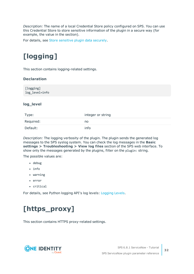*Description:* The name of a local Credential Store policy configured on SPS. You can use this Credential Store to store sensitive information of the plugin in a secure way (for example, the value in the section).

<span id="page-31-0"></span>For details, see Store [sensitive](#page-34-0) plugin data securely.

# **[logging]**

This section contains logging-related settings.

## **Declaration**

[logging] log\_level=info

### **log\_level**

| Type:     | integer or string |
|-----------|-------------------|
| Required: | no                |
| Default:  | info              |

*Description:* The logging verbosity of the plugin. The plugin sends the generated log messages to the SPS syslog system. You can check the log messages in the **Basic settings > Troubleshooting > View log files** section of the SPS web interface. To show only the messages generated by the plugins, filter on the plugin: string.

The possible values are:

- $\bullet$  debug
- info
- warning
- $\cdot$  error
- critical

<span id="page-31-1"></span>For details, see Python logging API's log levels: [Logging](https://docs.python.org/2/library/logging.html#logging-levels) Levels.

# **[https\_proxy]**

This section contains HTTPS proxy-related settings.

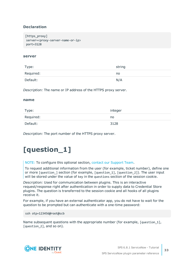## **Declaration**

```
[https proxy]
server=<proxy-server-name-or-ip>
port=3128
```
#### **server**

| Type:     | string |
|-----------|--------|
| Required: | no     |
| Default:  | N/A    |

*Description:* The name or IP address of the HTTPS proxy server.

#### **name**

| Type:     | integer |
|-----------|---------|
| Required: | no      |
| Default:  | 3128    |

<span id="page-32-0"></span>*Description:* The port number of the HTTPS proxy server.

## **[question\_1]**

NOTE: To configure this optional section, contact our [Support](https://support.oneidentity.com/one-identity-safeguard-for-privileged-sessions) Team.

To request additional information from the user (for example, ticket number), define one or more [question\_] section (for example, [question\_1], [question\_2]). The user input will be stored under the value of key in the questions section of the session cookie.

*Description:* Used for communication between plugins. This is an interactive request/response right after authentication in order to supply data to Credential Store plugins. The question is transferred to the session cookie and all hooks of all plugins receive it.

For example, if you have an external authenticator app, you do not have to wait for the question to be prompted but can authenticate with a one-time password:

ssh otp=123456@root@scb

Name subsequent questions with the appropriate number (for example, [question 1], [question 2], and so on).

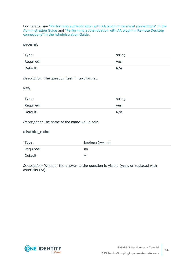For details, see "Performing [authentication](https://support.oneidentity.com/technical-documents/safeguard-for-privileged-sessions/6.8.1/administration-guide/advanced-authentication-and-authorization-techniques/integrating-external-authentication-and-authorization-systems/performing-authentication-with-aa-plugin-in-terminal-connections/) with AA plugin in terminal connections" in the [Administration](https://support.oneidentity.com/technical-documents/safeguard-for-privileged-sessions/6.8.1/administration-guide/advanced-authentication-and-authorization-techniques/integrating-external-authentication-and-authorization-systems/performing-authentication-with-aa-plugin-in-terminal-connections/) Guide and "Performing [authentication](https://support.oneidentity.com/technical-documents/safeguard-for-privileged-sessions/6.8.1/administration-guide/advanced-authentication-and-authorization-techniques/integrating-external-authentication-and-authorization-systems/performing-authentication-with-aa-plugin-in-remote-desktop-connections/) with AA plugin in Remote Desktop connections" in the [Administration](https://support.oneidentity.com/technical-documents/safeguard-for-privileged-sessions/6.8.1/administration-guide/advanced-authentication-and-authorization-techniques/integrating-external-authentication-and-authorization-systems/performing-authentication-with-aa-plugin-in-remote-desktop-connections/) Guide.

#### **prompt**

| Type:     | string |
|-----------|--------|
| Required: | yes    |
| Default:  | N/A    |

*Description:* The question itself in text format.

### **key**

| Type:     | string |
|-----------|--------|
| Required: | yes    |
| Default:  | N/A    |

*Description:* The name of the name-value pair.

## **disable\_echo**

| Type:     | boolean (yes no) |
|-----------|------------------|
| Required: | no               |
| Default:  | no               |

*Description:* Whether the answer to the question is visible (yes), or replaced with asterisks (no).

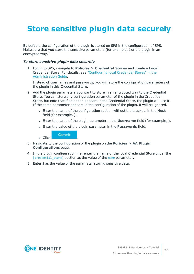# <span id="page-34-0"></span>**Store sensitive plugin data securely**

By default, the configuration of the plugin is stored on SPS in the configuration of SPS. Make sure that you store the sensitive parameters (for example, ) of the plugin in an encrypted way.

#### *To store sensitive plugin data securely*

1. Log in to SPS, navigate to **Policies > Credential Stores** and create a **Local** Credential Store. For details, see ["Configuring](https://support.oneidentity.com/technical-documents/safeguard-for-privileged-sessions/6.8.1/administration-guide/advanced-authentication-and-authorization-techniques/using-credential-stores-for-server-side-authentication/configuring-local-credential-stores/) local Credential Stores" in the [Administration](https://support.oneidentity.com/technical-documents/safeguard-for-privileged-sessions/6.8.1/administration-guide/advanced-authentication-and-authorization-techniques/using-credential-stores-for-server-side-authentication/configuring-local-credential-stores/) Guide.

Instead of usernames and passwords, you will store the configuration parameters of the plugin in this Credential Store.

- 2. Add the plugin parameters you want to store in an encrypted way to the Credential Store. You can store any configuration parameter of the plugin in the Credential Store, but note that if an option appears in the Credential Store, the plugin will use it. If the same parameter appears in the configuration of the plugin, it will be ignored.
	- **Enter the name of the configuration section without the brackets in the Host** field (for example, ).
	- <sup>l</sup> Enter the name of the plugin parameter in the **Username** field (for example, ).
	- <sup>l</sup> Enter the value of the plugin parameter in the **Passwords** field.



- 3. Navigate to the configuration of the plugin on the **Policies > AA Plugin Configurations** page.
- 4. In the plugin configuration file, enter the name of the local Credential Store under the [credential store] section as the value of the [name](#page-30-2) parameter.
- 5. Enter \$ as the value of the parameter storing sensitive data.

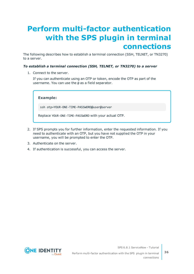# <span id="page-35-0"></span>**Perform multi-factor authentication with the SPS plugin in terminal connections**

The following describes how to establish a terminal connection (SSH, TELNET, or TN3270) to a server.

### *To establish a terminal connection (SSH, TELNET, or TN3270) to a server*

1. Connect to the server.

If you can authenticate using an OTP or token, encode the OTP as part of the username. You can use the @ as a field separator.

**Example:**

ssh otp=YOUR-ONE-TIME-PASSWORD@user@server

Replace YOUR-ONE-TIME-PASSWORD with your actual OTP.

- 2. If SPS prompts you for further information, enter the requested information. If you need to authenticate with an OTP, but you have not supplied the OTP in your username, you will be prompted to enter the OTP.
- 3. Authenticate on the server.
- 4. If authentication is successful, you can access the server.



SPS 6.8.1 ServiceNow - Tutorial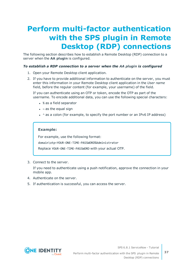# <span id="page-36-0"></span>**Perform multi-factor authentication with the SPS plugin in Remote Desktop (RDP) connections**

The following section describes how to establish a Remote Desktop (RDP) connection to a server when the **AA plugin** is configured.

#### *To establish a RDP connection to a server when the AA plugin is configured*

- 1. Open your Remote Desktop client application.
- 2. If you have to provide additional information to authenticate on the server, you must enter this information in your Remote Desktop client application in the *User name* field, before the regular content (for example, your username) of the field.

If you can authenticate using an OTP or token, encode the OTP as part of the username. To encode additional data, you can use the following special characters:

- % as a field separator
- $\bullet$  ~ as the equal sign
- $\cdot$  ^ as a colon (for example, to specify the port number or an IPv6 IP address)

### **Example:**

For example, use the following format:

domain\otp~YOUR-ONE-TIME-PASSWORD%Administrator

Replace YOUR-ONE-TIME-PASSWORD with your actual OTP.

3. Connect to the server.

If you need to authenticate using a push notification, approve the connection in your mobile app.

- 4. Authenticate on the server.
- 5. If authentication is successful, you can access the server.



SPS 6.8.1 ServiceNow - Tutorial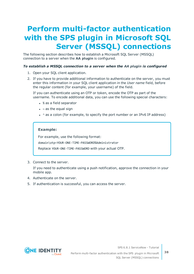# <span id="page-37-0"></span>**Perform multi-factor authentication with the SPS plugin in Microsoft SQL Server (MSSQL) connections**

The following section describes how to establish a Microsoft SQL Server (MSSQL) connection to a server when the **AA plugin** is configured.

#### *To establish a MSSQL connection to a server when the AA plugin is configured*

- 1. Open your SQL client application.
- 2. If you have to provide additional information to authenticate on the server, you must enter this information in your SQL client application in the *User name* field, before the regular content (for example, your username) of the field.

If you can authenticate using an OTP or token, encode the OTP as part of the username. To encode additional data, you can use the following special characters:

- % as a field separator
- $\bullet$  ~ as the equal sign
- $\cdot$  ^ as a colon (for example, to specify the port number or an IPv6 IP address)

### **Example:**

For example, use the following format:

domain\otp~YOUR-ONE-TIME-PASSWORD%Administrator

Replace YOUR-ONE-TIME-PASSWORD with your actual OTP.

3. Connect to the server.

If you need to authenticate using a push notification, approve the connection in your mobile app.

- 4. Authenticate on the server.
- 5. If authentication is successful, you can access the server.



SPS 6.8.1 ServiceNow - Tutorial